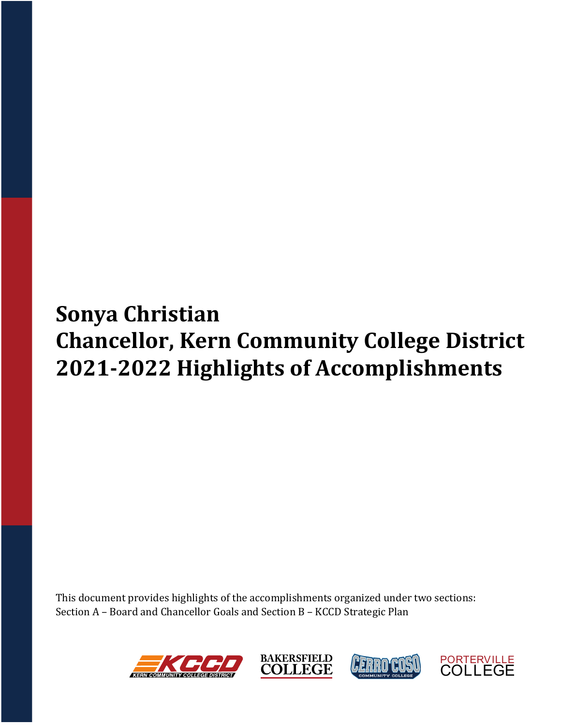# **Sonya Christian Chancellor, Kern Community College District 2021‐2022 Highlights of Accomplishments**

This document provides highlights of the accomplishments organized under two sections: Section A – Board and Chancellor Goals and Section B – KCCD Strategic Plan







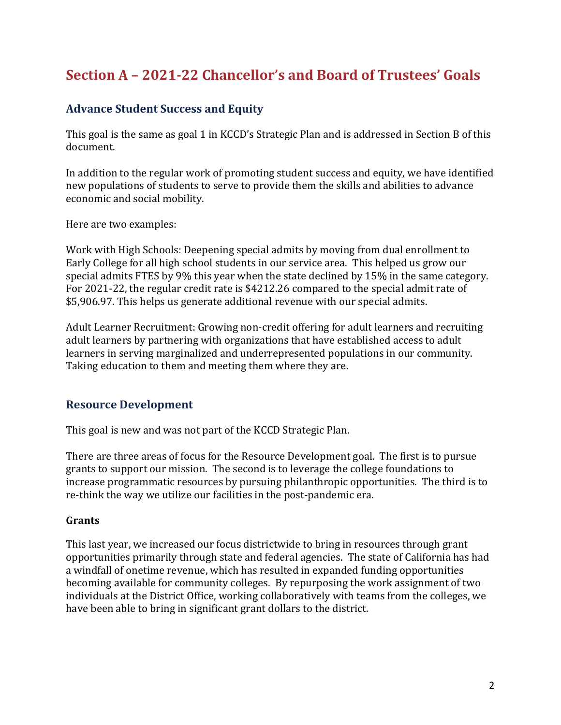# **Section A – 2021‐22 Chancellor's and Board of Trustees' Goals**

# **Advance Student Success and Equity**

This goal is the same as goal 1 in KCCD's Strategic Plan and is addressed in Section B of this document.

In addition to the regular work of promoting student success and equity, we have identified new populations of students to serve to provide them the skills and abilities to advance economic and social mobility.

Here are two examples:

Work with High Schools: Deepening special admits by moving from dual enrollment to Early College for all high school students in our service area. This helped us grow our special admits FTES by 9% this year when the state declined by 15% in the same category. For 2021-22, the regular credit rate is \$4212.26 compared to the special admit rate of \$5,906.97. This helps us generate additional revenue with our special admits.

Adult Learner Recruitment: Growing non-credit offering for adult learners and recruiting adult learners by partnering with organizations that have established access to adult learners in serving marginalized and underrepresented populations in our community. Taking education to them and meeting them where they are.

## **Resource Development**

This goal is new and was not part of the KCCD Strategic Plan.

There are three areas of focus for the Resource Development goal. The first is to pursue grants to support our mission. The second is to leverage the college foundations to increase programmatic resources by pursuing philanthropic opportunities. The third is to re-think the way we utilize our facilities in the post-pandemic era.

#### **Grants**

This last year, we increased our focus districtwide to bring in resources through grant opportunities primarily through state and federal agencies. The state of California has had a windfall of onetime revenue, which has resulted in expanded funding opportunities becoming available for community colleges. By repurposing the work assignment of two individuals at the District Office, working collaboratively with teams from the colleges, we have been able to bring in significant grant dollars to the district.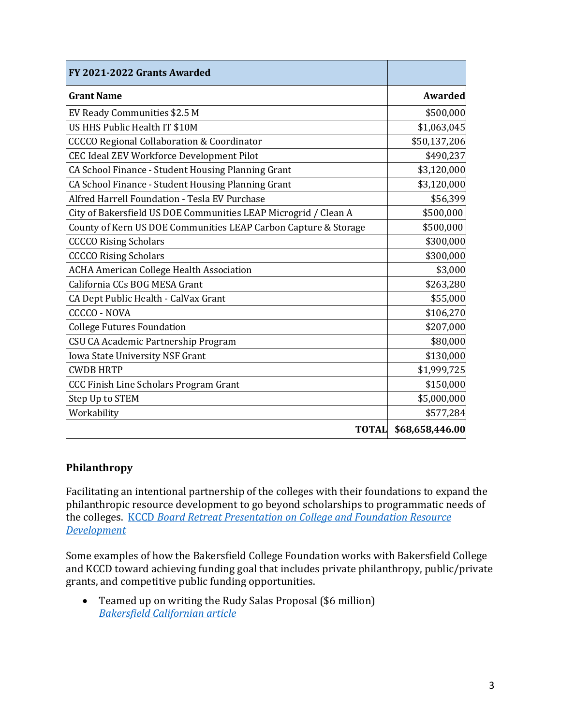| FY 2021-2022 Grants Awarded                                     |                 |
|-----------------------------------------------------------------|-----------------|
| <b>Grant Name</b>                                               | <b>Awarded</b>  |
| EV Ready Communities \$2.5 M                                    | \$500,000       |
| US HHS Public Health IT \$10M                                   | \$1,063,045     |
| <b>CCCCO Regional Collaboration &amp; Coordinator</b>           | \$50,137,206    |
| CEC Ideal ZEV Workforce Development Pilot                       | \$490,237       |
| CA School Finance - Student Housing Planning Grant              | \$3,120,000     |
| CA School Finance - Student Housing Planning Grant              | \$3,120,000     |
| Alfred Harrell Foundation - Tesla EV Purchase                   | \$56,399        |
| City of Bakersfield US DOE Communities LEAP Microgrid / Clean A | \$500,000       |
| County of Kern US DOE Communities LEAP Carbon Capture & Storage | \$500,000       |
| <b>CCCCO Rising Scholars</b>                                    | \$300,000       |
| <b>CCCCO Rising Scholars</b>                                    | \$300,000       |
| <b>ACHA American College Health Association</b>                 | \$3,000         |
| California CCs BOG MESA Grant                                   | \$263,280       |
| CA Dept Public Health - CalVax Grant                            | \$55,000        |
| <b>CCCCO - NOVA</b>                                             | \$106,270       |
| <b>College Futures Foundation</b>                               | \$207,000       |
| CSU CA Academic Partnership Program                             | \$80,000        |
| Iowa State University NSF Grant                                 | \$130,000       |
| <b>CWDB HRTP</b>                                                | \$1,999,725     |
| <b>CCC Finish Line Scholars Program Grant</b>                   | \$150,000       |
| Step Up to STEM                                                 | \$5,000,000     |
| Workability                                                     | \$577,284       |
| <b>TOTAL</b>                                                    | \$68,658,446.00 |

#### **Philanthropy**

Facilitating an intentional partnership of the colleges with their foundations to expand the philanthropic resource development to go beyond scholarships to programmatic needs of the colleges. KCCD *Board Retreat Presentation on College and Foundation Resource Development*

Some examples of how the Bakersfield College Foundation works with Bakersfield College and KCCD toward achieving funding goal that includes private philanthropy, public/private grants, and competitive public funding opportunities.

 Teamed up on writing the Rudy Salas Proposal (\$6 million) *Bakersfield Californian article*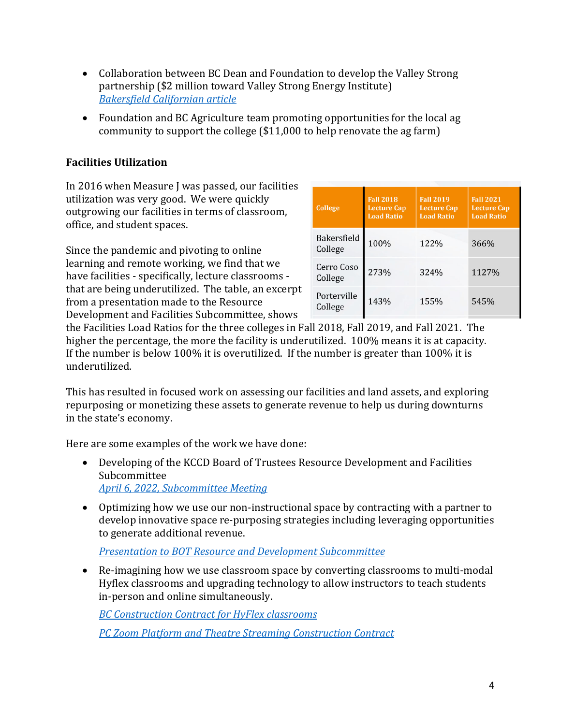- Collaboration between BC Dean and Foundation to develop the Valley Strong partnership (\$2 million toward Valley Strong Energy Institute) *Bakersfield Californian article*
- Foundation and BC Agriculture team promoting opportunities for the local ag community to support the college (\$11,000 to help renovate the ag farm)

#### **Facilities Utilization**

In 2016 when Measure J was passed, our facilities utilization was very good. We were quickly outgrowing our facilities in terms of classroom, office, and student spaces.

Since the pandemic and pivoting to online learning and remote working, we find that we have facilities - specifically, lecture classrooms that are being underutilized. The table, an excerpt from a presentation made to the Resource Development and Facilities Subcommittee, shows

| College                       | <b>Fall 2018</b><br><b>Lecture Cap</b><br><b>Load Ratio</b> | <b>Fall 2019</b><br><b>Lecture Cap</b><br><b>Load Ratio</b> | <b>Fall 2021</b><br><b>Lecture Cap</b><br><b>Load Ratio</b> |
|-------------------------------|-------------------------------------------------------------|-------------------------------------------------------------|-------------------------------------------------------------|
| <b>Bakersfield</b><br>College | 100%                                                        | 122%                                                        | 366%                                                        |
| Cerro Coso<br>College         | 273%                                                        | 324%                                                        | 1127%                                                       |
| Porterville<br>College        | 143%                                                        | 155%                                                        | 545%                                                        |

the Facilities Load Ratios for the three colleges in Fall 2018, Fall 2019, and Fall 2021. The higher the percentage, the more the facility is underutilized. 100% means it is at capacity. If the number is below 100% it is overutilized. If the number is greater than 100% it is underutilized.

This has resulted in focused work on assessing our facilities and land assets, and exploring repurposing or monetizing these assets to generate revenue to help us during downturns in the state's economy.

Here are some examples of the work we have done:

- Developing of the KCCD Board of Trustees Resource Development and Facilities Subcommittee *April 6, 2022, Subcommittee Meeting*
- Optimizing how we use our non-instructional space by contracting with a partner to develop innovative space re-purposing strategies including leveraging opportunities to generate additional revenue.

*Presentation to BOT Resource and Development Subcommittee*

 Re-imagining how we use classroom space by converting classrooms to multi-modal Hyflex classrooms and upgrading technology to allow instructors to teach students in-person and online simultaneously.

*BC Construction Contract for HyFlex classrooms*

*PC Zoom Platform and Theatre Streaming Construction Contract*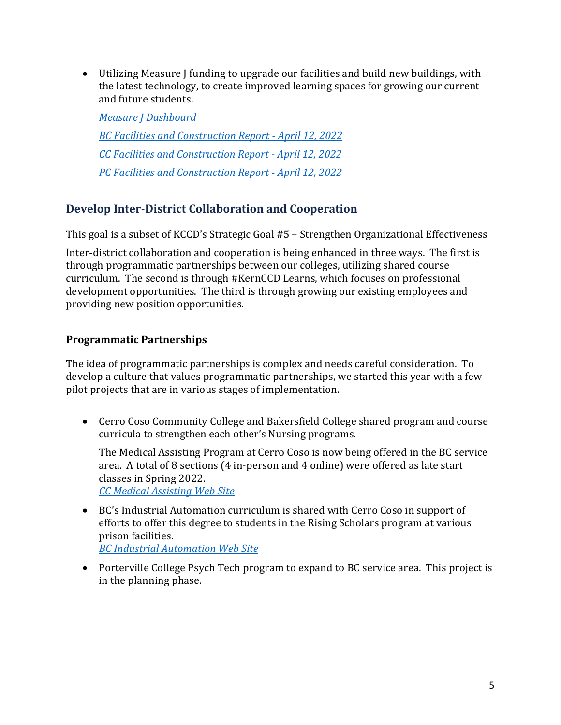Utilizing Measure J funding to upgrade our facilities and build new buildings, with the latest technology, to create improved learning spaces for growing our current and future students.

*Measure J Dashboard BC Facilities and Construction Report ‐ April 12, 2022 CC Facilities and Construction Report ‐ April 12, 2022 PC Facilities and Construction Report ‐ April 12, 2022* 

# **Develop Inter‐District Collaboration and Cooperation**

This goal is a subset of KCCD's Strategic Goal #5 – Strengthen Organizational Effectiveness

Inter-district collaboration and cooperation is being enhanced in three ways. The first is through programmatic partnerships between our colleges, utilizing shared course curriculum. The second is through #KernCCD Learns, which focuses on professional development opportunities. The third is through growing our existing employees and providing new position opportunities.

#### **Programmatic Partnerships**

The idea of programmatic partnerships is complex and needs careful consideration. To develop a culture that values programmatic partnerships, we started this year with a few pilot projects that are in various stages of implementation.

 Cerro Coso Community College and Bakersfield College shared program and course curricula to strengthen each other's Nursing programs.

The Medical Assisting Program at Cerro Coso is now being offered in the BC service area. A total of 8 sections (4 in-person and 4 online) were offered as late start classes in Spring 2022.

*CC Medical Assisting Web Site*

 BC's Industrial Automation curriculum is shared with Cerro Coso in support of efforts to offer this degree to students in the Rising Scholars program at various prison facilities.

*BC Industrial Automation Web Site*

• Porterville College Psych Tech program to expand to BC service area. This project is in the planning phase.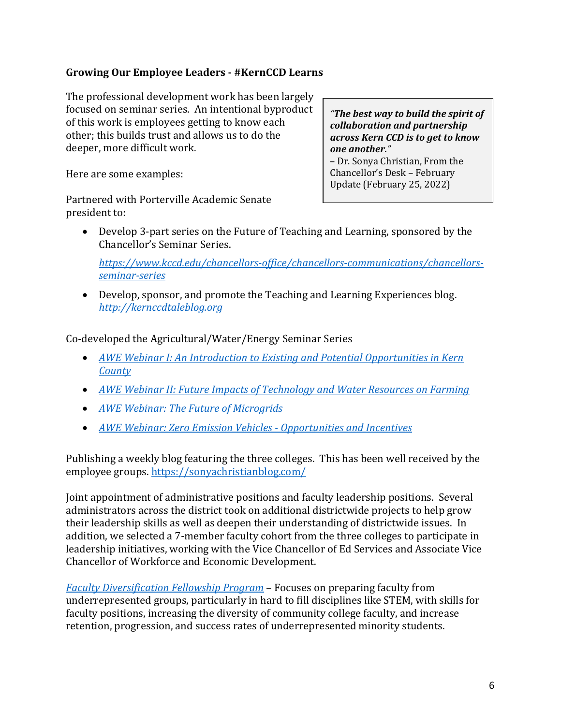#### **Growing Our Employee Leaders ‐ #KernCCD Learns**

The professional development work has been largely focused on seminar series. An intentional byproduct of this work is employees getting to know each other; this builds trust and allows us to do the deeper, more difficult work.

Here are some examples:

*"The best way to build the spirit of collaboration and partnership across Kern CCD is to get to know one another."*  – Dr. Sonya Christian, From the Chancellor's Desk – February Update (February 25, 2022)

Partnered with Porterville Academic Senate president to:

 Develop 3-part series on the Future of Teaching and Learning, sponsored by the Chancellor's Seminar Series.

*https://www.kccd.edu/chancellors‐office/chancellors‐communications/chancellors‐ seminar‐series* 

 Develop, sponsor, and promote the Teaching and Learning Experiences blog. *http://kernccdtaleblog.org*

Co-developed the Agricultural/Water/Energy Seminar Series

- *AWE Webinar I: An Introduction to Existing and Potential Opportunities in Kern County*
- *AWE Webinar II: Future Impacts of Technology and Water Resources on Farming*
- *AWE Webinar: The Future of Microgrids*
- *AWE Webinar: Zero Emission Vehicles ‐ Opportunities and Incentives*

Publishing a weekly blog featuring the three colleges. This has been well received by the employee groups. https://sonyachristianblog.com/

Joint appointment of administrative positions and faculty leadership positions. Several administrators across the district took on additional districtwide projects to help grow their leadership skills as well as deepen their understanding of districtwide issues. In addition, we selected a 7-member faculty cohort from the three colleges to participate in leadership initiatives, working with the Vice Chancellor of Ed Services and Associate Vice Chancellor of Workforce and Economic Development.

*Faculty Diversification Fellowship Program* – Focuses on preparing faculty from underrepresented groups, particularly in hard to fill disciplines like STEM, with skills for faculty positions, increasing the diversity of community college faculty, and increase retention, progression, and success rates of underrepresented minority students.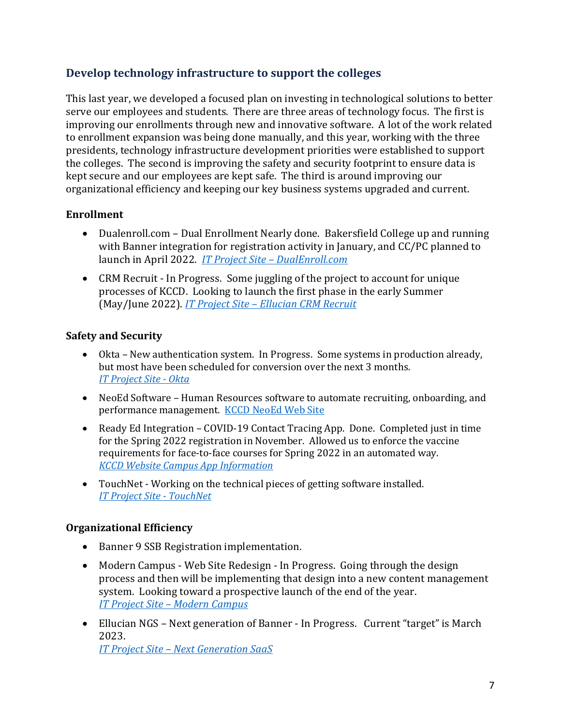# **Develop technology infrastructure to support the colleges**

This last year, we developed a focused plan on investing in technological solutions to better serve our employees and students. There are three areas of technology focus. The first is improving our enrollments through new and innovative software. A lot of the work related to enrollment expansion was being done manually, and this year, working with the three presidents, technology infrastructure development priorities were established to support the colleges. The second is improving the safety and security footprint to ensure data is kept secure and our employees are kept safe. The third is around improving our organizational efficiency and keeping our key business systems upgraded and current.

#### **Enrollment**

- Dualenroll.com Dual Enrollment Nearly done. Bakersfield College up and running with Banner integration for registration activity in January, and CC/PC planned to launch in April 2022. *IT Project Site – DualEnroll.com*
- CRM Recruit In Progress. Some juggling of the project to account for unique processes of KCCD. Looking to launch the first phase in the early Summer (May/June 2022). *IT Project Site – Ellucian CRM Recruit*

#### **Safety and Security**

- Okta New authentication system. In Progress. Some systems in production already, but most have been scheduled for conversion over the next 3 months. *IT Project Site ‐ Okta*
- NeoEd Software Human Resources software to automate recruiting, onboarding, and performance management. KCCD NeoEd Web Site
- Ready Ed Integration COVID-19 Contact Tracing App. Done. Completed just in time for the Spring 2022 registration in November. Allowed us to enforce the vaccine requirements for face-to-face courses for Spring 2022 in an automated way. *KCCD Website Campus App Information*
- TouchNet Working on the technical pieces of getting software installed. *IT Project Site ‐ TouchNet*

#### **Organizational Efficiency**

- Banner 9 SSB Registration implementation.
- Modern Campus Web Site Redesign In Progress. Going through the design process and then will be implementing that design into a new content management system. Looking toward a prospective launch of the end of the year. *IT Project Site – Modern Campus*
- Ellucian NGS Next generation of Banner In Progress. Current "target" is March 2023. *IT Project Site – Next Generation SaaS*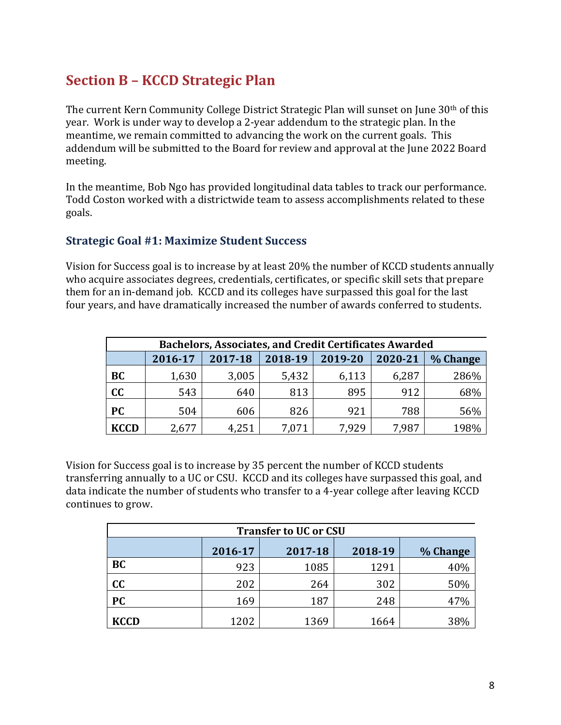# **Section B – KCCD Strategic Plan**

The current Kern Community College District Strategic Plan will sunset on June 30<sup>th</sup> of this year. Work is under way to develop a 2-year addendum to the strategic plan. In the meantime, we remain committed to advancing the work on the current goals. This addendum will be submitted to the Board for review and approval at the June 2022 Board meeting.

In the meantime, Bob Ngo has provided longitudinal data tables to track our performance. Todd Coston worked with a districtwide team to assess accomplishments related to these goals.

#### **Strategic Goal #1: Maximize Student Success**

Vision for Success goal is to increase by at least 20% the number of KCCD students annually who acquire associates degrees, credentials, certificates, or specific skill sets that prepare them for an in-demand job. KCCD and its colleges have surpassed this goal for the last four years, and have dramatically increased the number of awards conferred to students.

| <b>Bachelors, Associates, and Credit Certificates Awarded</b> |         |         |         |         |         |          |  |
|---------------------------------------------------------------|---------|---------|---------|---------|---------|----------|--|
|                                                               | 2016-17 | 2017-18 | 2018-19 | 2019-20 | 2020-21 | % Change |  |
| BC                                                            | 1,630   | 3,005   | 5,432   | 6,113   | 6,287   | 286%     |  |
| cc                                                            | 543     | 640     | 813     | 895     | 912     | 68%      |  |
| <b>PC</b>                                                     | 504     | 606     | 826     | 921     | 788     | 56%      |  |
| <b>KCCD</b>                                                   | 2,677   | 4,251   | 7,071   | 7.929   | 7,987   | 198%     |  |

Vision for Success goal is to increase by 35 percent the number of KCCD students transferring annually to a UC or CSU. KCCD and its colleges have surpassed this goal, and data indicate the number of students who transfer to a 4-year college after leaving KCCD continues to grow.

| <b>Transfer to UC or CSU</b> |         |         |         |          |  |  |
|------------------------------|---------|---------|---------|----------|--|--|
|                              | 2016-17 | 2017-18 | 2018-19 | % Change |  |  |
| <b>BC</b>                    | 923     | 1085    | 1291    | 40%      |  |  |
| cc                           | 202     | 264     | 302     | 50%      |  |  |
| <b>PC</b>                    | 169     | 187     | 248     | 47%      |  |  |
| <b>KCCD</b>                  | 1202    | 1369    | 1664    | 38%      |  |  |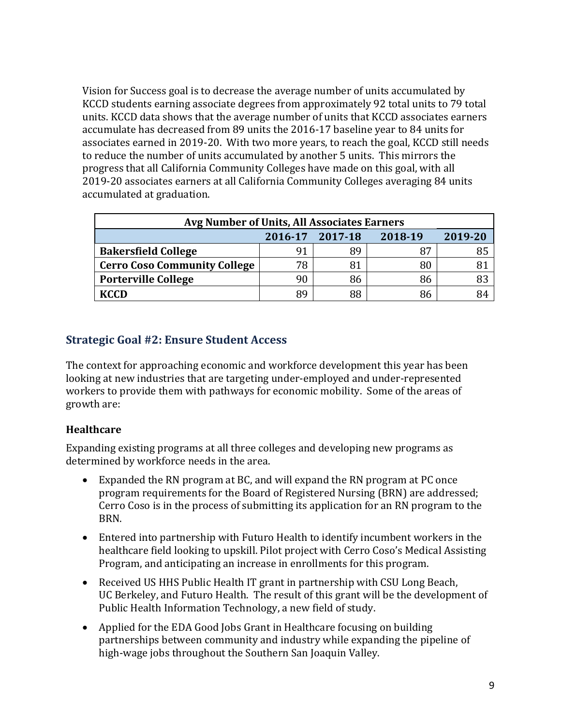Vision for Success goal is to decrease the average number of units accumulated by KCCD students earning associate degrees from approximately 92 total units to 79 total units. KCCD data shows that the average number of units that KCCD associates earners accumulate has decreased from 89 units the 2016-17 baseline year to 84 units for associates earned in 2019-20. With two more years, to reach the goal, KCCD still needs to reduce the number of units accumulated by another 5 units. This mirrors the progress that all California Community Colleges have made on this goal, with all 2019-20 associates earners at all California Community Colleges averaging 84 units accumulated at graduation.

| Avg Number of Units, All Associates Earners |    |    |    |  |  |  |  |
|---------------------------------------------|----|----|----|--|--|--|--|
| 2016-17 2017-18<br>2018-19<br>2019-20       |    |    |    |  |  |  |  |
| <b>Bakersfield College</b>                  | 91 | 89 | 87 |  |  |  |  |
| <b>Cerro Coso Community College</b>         | 78 | 81 | 80 |  |  |  |  |
| <b>Porterville College</b>                  | 90 | 86 | 86 |  |  |  |  |
| KCCD                                        | 89 | 88 | 86 |  |  |  |  |

#### **Strategic Goal #2: Ensure Student Access**

The context for approaching economic and workforce development this year has been looking at new industries that are targeting under-employed and under-represented workers to provide them with pathways for economic mobility. Some of the areas of growth are:

#### **Healthcare**

Expanding existing programs at all three colleges and developing new programs as determined by workforce needs in the area.

- Expanded the RN program at BC, and will expand the RN program at PC once program requirements for the Board of Registered Nursing (BRN) are addressed; Cerro Coso is in the process of submitting its application for an RN program to the BRN.
- Entered into partnership with Futuro Health to identify incumbent workers in the healthcare field looking to upskill. Pilot project with Cerro Coso's Medical Assisting Program, and anticipating an increase in enrollments for this program.
- Received US HHS Public Health IT grant in partnership with CSU Long Beach, UC Berkeley, and Futuro Health. The result of this grant will be the development of Public Health Information Technology, a new field of study.
- Applied for the EDA Good Jobs Grant in Healthcare focusing on building partnerships between community and industry while expanding the pipeline of high-wage jobs throughout the Southern San Joaquin Valley.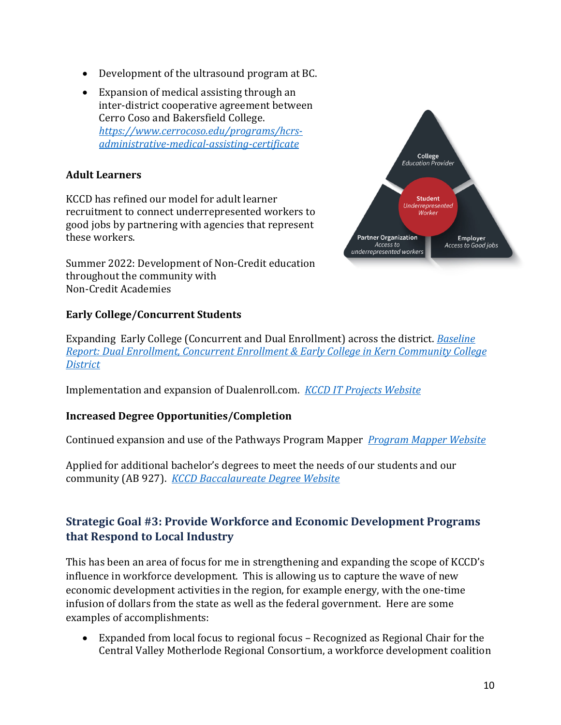- Development of the ultrasound program at BC.
- Expansion of medical assisting through an inter-district cooperative agreement between Cerro Coso and Bakersfield College. *https://www.cerrocoso.edu/programs/hcrs‐ administrative‐medical‐assisting‐certificate*

#### **Adult Learners**

KCCD has refined our model for adult learner recruitment to connect underrepresented workers to good jobs by partnering with agencies that represent these workers.

Summer 2022: Development of Non-Credit education throughout the community with Non-Credit Academies

#### **Early College/Concurrent Students**



Expanding Early College (Concurrent and Dual Enrollment) across the district. *Baseline Report: Dual Enrollment, Concurrent Enrollment & Early College in Kern Community College District*

Implementation and expansion of Dualenroll.com. *KCCD IT Projects Website*

#### **Increased Degree Opportunities/Completion**

Continued expansion and use of the Pathways Program Mapper *Program Mapper Website*

Applied for additional bachelor's degrees to meet the needs of our students and our community (AB 927). *KCCD Baccalaureate Degree Website*

# **Strategic Goal #3: Provide Workforce and Economic Development Programs that Respond to Local Industry**

This has been an area of focus for me in strengthening and expanding the scope of KCCD's influence in workforce development. This is allowing us to capture the wave of new economic development activities in the region, for example energy, with the one-time infusion of dollars from the state as well as the federal government. Here are some examples of accomplishments:

 Expanded from local focus to regional focus – Recognized as Regional Chair for the Central Valley Motherlode Regional Consortium, a workforce development coalition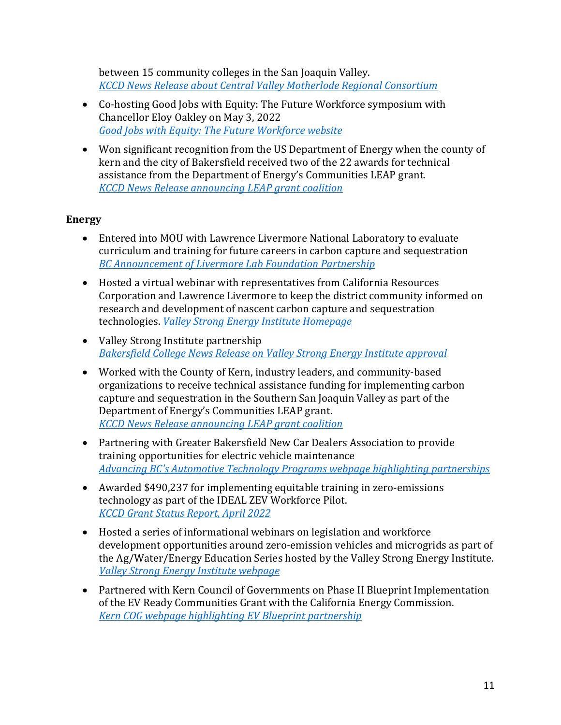between 15 community colleges in the San Joaquin Valley. *KCCD News Release about Central Valley Motherlode Regional Consortium*

- Co-hosting Good Jobs with Equity: The Future Workforce symposium with Chancellor Eloy Oakley on May 3, 2022 *Good Jobs with Equity: The Future Workforce website*
- Won significant recognition from the US Department of Energy when the county of kern and the city of Bakersfield received two of the 22 awards for technical assistance from the Department of Energy's Communities LEAP grant. *KCCD News Release announcing LEAP grant coalition*

#### **Energy**

- Entered into MOU with Lawrence Livermore National Laboratory to evaluate curriculum and training for future careers in carbon capture and sequestration *BC Announcement of Livermore Lab Foundation Partnership*
- Hosted a virtual webinar with representatives from California Resources Corporation and Lawrence Livermore to keep the district community informed on research and development of nascent carbon capture and sequestration technologies. *Valley Strong Energy Institute Homepage*
- Valley Strong Institute partnership *Bakersfield College News Release on Valley Strong Energy Institute approval*
- Worked with the County of Kern, industry leaders, and community-based organizations to receive technical assistance funding for implementing carbon capture and sequestration in the Southern San Joaquin Valley as part of the Department of Energy's Communities LEAP grant. *KCCD News Release announcing LEAP grant coalition*
- Partnering with Greater Bakersfield New Car Dealers Association to provide training opportunities for electric vehicle maintenance *Advancing BC's Automotive Technology Programs webpage highlighting partnerships*
- Awarded \$490,237 for implementing equitable training in zero-emissions technology as part of the IDEAL ZEV Workforce Pilot. *KCCD Grant Status Report, April 2022*
- Hosted a series of informational webinars on legislation and workforce development opportunities around zero-emission vehicles and microgrids as part of the Ag/Water/Energy Education Series hosted by the Valley Strong Energy Institute. *Valley Strong Energy Institute webpage*
- Partnered with Kern Council of Governments on Phase II Blueprint Implementation of the EV Ready Communities Grant with the California Energy Commission. *Kern COG webpage highlighting EV Blueprint partnership*